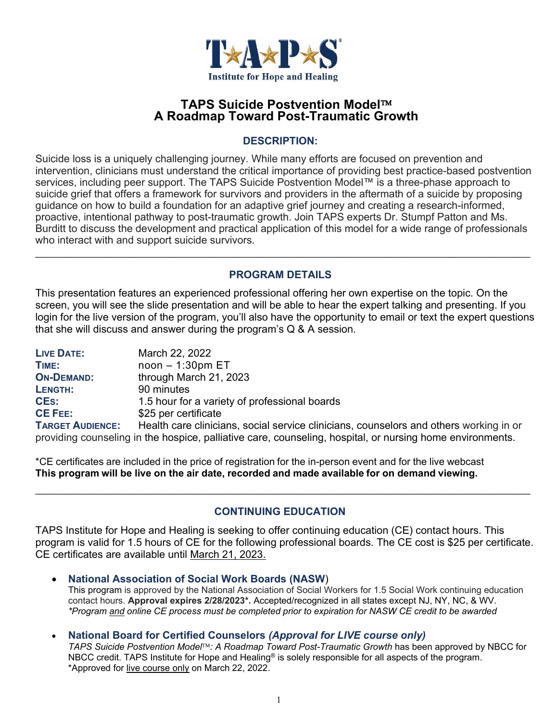

## **TAPS Suicide Postvention Model A Roadmap Toward Post-Traumatic Growth**

#### **DESCRIPTION:**

Suicide loss is a uniquely challenging journey. While many efforts are focused on prevention and intervention, clinicians must understand the critical importance of providing best practice-based postvention services, including peer support. The TAPS Suicide Postvention Model™ is a three-phase approach to suicide grief that offers a framework for survivors and providers in the aftermath of a suicide by proposing guidance on how to build a foundation for an adaptive grief journey and creating a research-informed, proactive, intentional pathway to post-traumatic growth. Join TAPS experts Dr. Stumpf Patton and Ms. Burditt to discuss the development and practical application of this model for a wide range of professionals who interact with and support suicide survivors.  $\_$  , and the contribution of the contribution of the contribution of the contribution of the contribution of  $\mathcal{L}_\text{max}$ 

### **PROGRAM DETAILS**

This presentation features an experienced professional offering her own expertise on the topic. On the screen, you will see the slide presentation and will be able to hear the expert talking and presenting. If you login for the live version of the program, you'll also have the opportunity to email or text the expert questions that she will discuss and answer during the program's Q & A session.

| <b>LIVE DATE:</b>       | March 22, 2022                                                                                            |
|-------------------------|-----------------------------------------------------------------------------------------------------------|
| TIME:                   | $noon - 1:30pm ET$                                                                                        |
| <b>ON-DEMAND:</b>       | through March 21, 2023                                                                                    |
| LENGTH:                 | 90 minutes                                                                                                |
| <b>CES:</b>             | 1.5 hour for a variety of professional boards                                                             |
| <b>CE FEE:</b>          | \$25 per certificate                                                                                      |
| <b>TARGET AUDIENCE:</b> | Health care clinicians, social service clinicians, counselors and others working in or                    |
|                         | providing counseling in the hospice, palliative care, counseling, hospital, or nursing home environments. |

\*CE certificates are included in the price of registration for the in-person event and for the live webcast **This program will be live on the air date, recorded and made available for on demand viewing.**

## **CONTINUING EDUCATION**

TAPS Institute for Hope and Healing is seeking to offer continuing education (CE) contact hours. This program is valid for 1.5 hours of CE for the following professional boards. The CE cost is \$25 per certificate. CE certificates are available until March 21, 2023.

**National Association of Social Work Boards (NASW**)

This program is approved by the National Association of Social Workers for 1.5 Social Work continuing education contact hours. **Approval expires 2/28/2023\*.** Accepted/recognized in all states except NJ, NY, NC, & WV. *\*Program and online CE process must be completed prior to expiration for NASW CE credit to be awarded*

#### **National Board for Certified Counselors** *(Approval for LIVE course only)*

*TAPS Suicide Postvention Model: A Roadmap Toward Post-Traumatic Growth* has been approved by NBCC for NBCC credit. TAPS Institute for Hope and Healing<sup>®</sup> is solely responsible for all aspects of the program. \*Approved for live course only on March 22, 2022.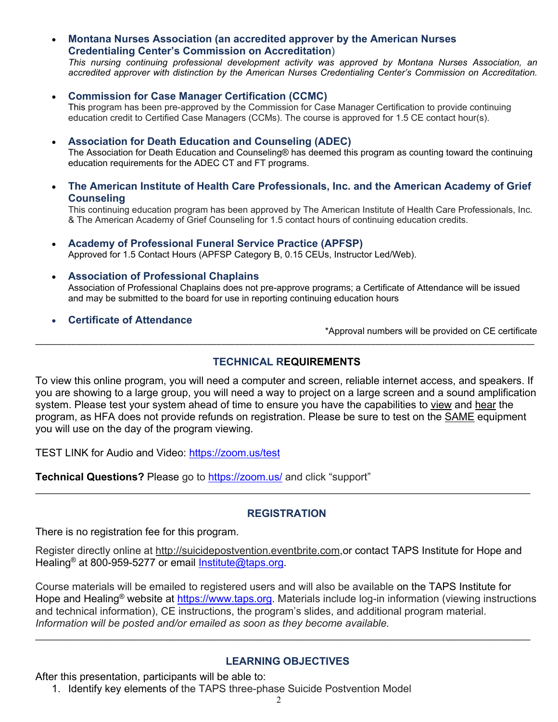**Montana Nurses Association (an accredited approver by the American Nurses Credentialing Center's Commission on Accreditation**)

*This nursing continuing professional development activity was approved by Montana Nurses Association, an accredited approver with distinction by the American Nurses Credentialing Center's Commission on Accreditation.*

**Commission for Case Manager Certification (CCMC)**

This program has been pre-approved by the Commission for Case Manager Certification to provide continuing education credit to Certified Case Managers (CCMs). The course is approved for 1.5 CE contact hour(s).

**Association for Death Education and Counseling (ADEC)**

The Association for Death Education and Counseling® has deemed this program as counting toward the continuing education requirements for the ADEC CT and FT programs.

 **The American Institute of Health Care Professionals, Inc. and the American Academy of Grief Counseling**

This continuing education program has been approved by The American Institute of Health Care Professionals, Inc. & The American Academy of Grief Counseling for 1.5 contact hours of continuing education credits.

- **Academy of Professional Funeral Service Practice (APFSP)** Approved for 1.5 Contact Hours (APFSP Category B, 0.15 CEUs, Instructor Led/Web).
- **Association of Professional Chaplains**

Association of Professional Chaplains does not pre-approve programs; a Certificate of Attendance will be issued and may be submitted to the board for use in reporting continuing education hours

**Certificate of Attendance**

\*Approval numbers will be provided on CE certificate

#### **TECHNICAL REQUIREMENTS**

\_\_\_\_\_\_\_\_\_\_\_\_\_\_\_\_\_\_\_\_\_\_\_\_\_\_\_\_\_\_\_\_\_\_\_\_\_\_\_\_\_\_\_\_\_\_\_\_\_\_\_\_\_\_\_\_\_\_\_\_\_\_\_\_\_\_\_\_\_\_\_\_\_\_\_\_\_\_\_\_\_\_\_\_\_\_\_\_\_\_\_\_\_\_\_\_\_\_\_\_\_\_\_\_\_\_\_\_\_\_

To view this online program, you will need a computer and screen, reliable internet access, and speakers. If you are showing to a large group, you will need a way to project on a large screen and a sound amplification system. Please test your system ahead of time to ensure you have the capabilities to view and hear the program, as HFA does not provide refunds on registration. Please be sure to test on the SAME equipment you will use on the day of the program viewing.

TEST LINK for Audio and Video: https://zoom.us/test

**Technical Questions?** Please go to https://zoom.us/ and click "support"

#### **REGISTRATION**

 $\_$  , and the contribution of the contribution of the contribution of the contribution of the contribution of  $\mathcal{L}_\text{max}$ 

There is no registration fee for this program.

Register directly online at http://suicidepostvention.eventbrite.com,or contact TAPS Institute for Hope and Healing<sup>®</sup> at 800-959-5277 or email Institute@taps.org.

Course materials will be emailed to registered users and will also be available on the TAPS Institute for Hope and Healing<sup>®</sup> website at https://www.taps.org. Materials include log-in information (viewing instructions and technical information), CE instructions, the program's slides, and additional program material. *Information will be posted and/or emailed as soon as they become available.*

#### **LEARNING OBJECTIVES**

\_\_\_\_\_\_\_\_\_\_\_\_\_\_\_\_\_\_\_\_\_\_\_\_\_\_\_\_\_\_\_\_\_\_\_\_\_\_\_\_\_\_\_\_\_\_\_\_\_\_\_\_\_\_\_\_\_\_\_\_\_\_\_\_\_\_\_\_\_\_\_\_\_\_\_\_\_\_\_\_\_\_\_\_\_

After this presentation, participants will be able to:

1. Identify key elements of the TAPS three-phase Suicide Postvention Model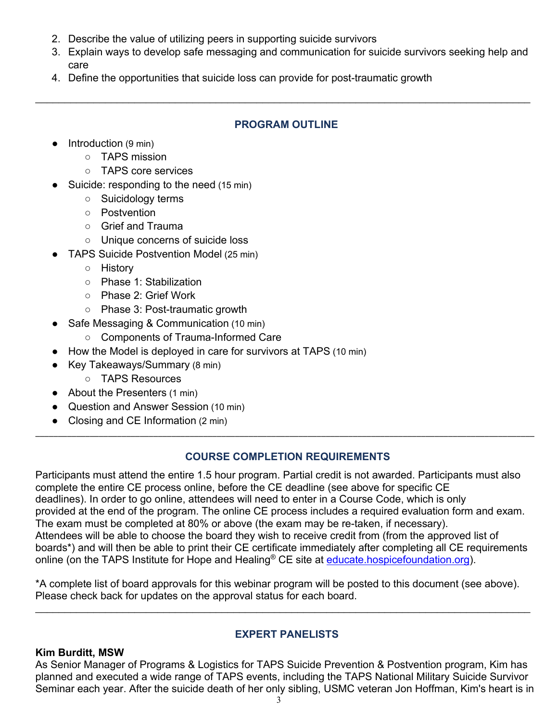- 2. Describe the value of utilizing peers in supporting suicide survivors
- 3. Explain ways to develop safe messaging and communication for suicide survivors seeking help and care
- 4. Define the opportunities that suicide loss can provide for post-traumatic growth

#### **PROGRAM OUTLINE**

 $\_$  , and the contribution of the contribution of the contribution of the contribution of the contribution of  $\mathcal{L}_\text{max}$ 

- $\bullet$  Introduction (9 min)
	- TAPS mission
	- TAPS core services
- Suicide: responding to the need (15 min)
	- Suicidology terms
	- Postvention
	- Grief and Trauma
	- Unique concerns of suicide loss
- TAPS Suicide Postvention Model (25 min)
	- History
	- Phase 1: Stabilization
	- Phase 2: Grief Work
	- Phase 3: Post-traumatic growth
- Safe Messaging & Communication (10 min)
	- Components of Trauma-Informed Care
- How the Model is deployed in care for survivors at TAPS (10 min)
- Key Takeaways/Summary (8 min)
	- TAPS Resources
- About the Presenters (1 min)
- Question and Answer Session (10 min)
- Closing and CE Information (2 min)

## **COURSE COMPLETION REQUIREMENTS**

\_\_\_\_\_\_\_\_\_\_\_\_\_\_\_\_\_\_\_\_\_\_\_\_\_\_\_\_\_\_\_\_\_\_\_\_\_\_\_\_\_\_\_\_\_\_\_\_\_\_\_\_\_\_\_\_\_\_\_\_\_\_\_\_\_\_\_\_\_\_\_\_\_\_\_\_\_\_\_\_\_\_\_\_\_\_\_\_\_\_\_\_\_\_\_\_\_\_\_\_\_\_\_\_\_\_\_\_\_\_

Participants must attend the entire 1.5 hour program. Partial credit is not awarded. Participants must also complete the entire CE process online, before the CE deadline (see above for specific CE deadlines). In order to go online, attendees will need to enter in a Course Code, which is only provided at the end of the program. The online CE process includes a required evaluation form and exam. The exam must be completed at 80% or above (the exam may be re-taken, if necessary). Attendees will be able to choose the board they wish to receive credit from (from the approved list of boards\*) and will then be able to print their CE certificate immediately after completing all CE requirements online (on the TAPS Institute for Hope and Healing® CE site at educate hospicefoundation.org).

\*A complete list of board approvals for this webinar program will be posted to this document (see above). Please check back for updates on the approval status for each board.

 $\_$  , and the contribution of the contribution of the contribution of the contribution of the contribution of  $\mathcal{L}_\text{max}$ 

## **EXPERT PANELISTS**

## **Kim Burditt, MSW**

As Senior Manager of Programs & Logistics for TAPS Suicide Prevention & Postvention program, Kim has planned and executed a wide range of TAPS events, including the TAPS National Military Suicide Survivor Seminar each year. After the suicide death of her only sibling, USMC veteran Jon Hoffman, Kim's heart is in